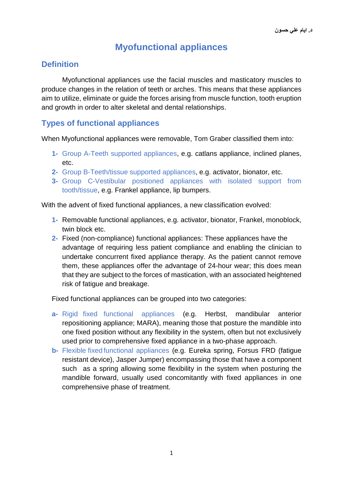# **Myofunctional appliances**

# **Definition**

Myofunctional appliances use the facial muscles and masticatory muscles to produce changes in the relation of teeth or arches. This means that these appliances aim to utilize, eliminate or guide the forces arising from muscle function, tooth eruption and growth in order to alter skeletal and dental relationships.

# **Types of functional appliances**

When Myofunctional appliances were removable, Tom Graber classified them into:

- **1-** Group A-Teeth supported appliances, e.g. catlans appliance, inclined planes, etc.
- **2-** Group B-Teeth/tissue supported appliances, e.g. activator, bionator, etc.
- **3-** Group C-Vestibular positioned appliances with isolated support from tooth/tissue, e.g. Frankel appliance, lip bumpers.

With the advent of fixed functional appliances, a new classification evolved:

- **1-** Removable functional appliances, e.g. activator, bionator, Frankel, monoblock, twin block etc.
- **2-** Fixed (non-compliance) functional appliances: These appliances have the advantage of requiring less patient compliance and enabling the clinician to undertake concurrent fixed appliance therapy. As the patient cannot remove them, these appliances offer the advantage of 24-hour wear; this does mean that they are subject to the forces of mastication, with an associated heightened risk of fatigue and breakage.

Fixed functional appliances can be grouped into two categories:

- **a-** Rigid fixed functional appliances (e.g. Herbst, mandibular anterior repositioning appliance; MARA), meaning those that posture the mandible into one fixed position without any flexibility in the system, often but not exclusively used prior to comprehensive fixed appliance in a two-phase approach.
- **b-** Flexible fixed functional appliances (e.g. Eureka spring, Forsus FRD (fatigue resistant device), Jasper Jumper) encompassing those that have a component such as a spring allowing some flexibility in the system when posturing the mandible forward, usually used concomitantly with fixed appliances in one comprehensive phase of treatment.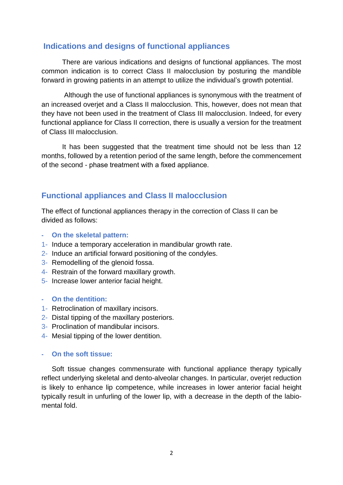## **Indications and designs of functional appliances**

There are various indications and designs of functional appliances. The most common indication is to correct Class II malocclusion by posturing the mandible forward in growing patients in an attempt to utilize the individual's growth potential.

Although the use of functional appliances is synonymous with the treatment of an increased overjet and a Class II malocclusion. This, however, does not mean that they have not been used in the treatment of Class III malocclusion. Indeed, for every functional appliance for Class II correction, there is usually a version for the treatment of Class III malocclusion.

It has been suggested that the treatment time should not be less than 12 months, followed by a retention period of the same length, before the commencement of the second - phase treatment with a fixed appliance.

# **Functional appliances and Class II malocclusion**

The effect of functional appliances therapy in the correction of Class II can be divided as follows:

- **- On the skeletal pattern:**
- 1- Induce a temporary acceleration in mandibular growth rate.
- 2- Induce an artificial forward positioning of the condyles.
- 3- Remodelling of the glenoid fossa.
- 4- Restrain of the forward maxillary growth.
- 5- Increase lower anterior facial height.

#### **- On the dentition:**

- 1- Retroclination of maxillary incisors.
- 2- Distal tipping of the maxillary posteriors.
- 3- Proclination of mandibular incisors.
- 4- Mesial tipping of the lower dentition.

#### **- On the soft tissue:**

Soft tissue changes commensurate with functional appliance therapy typically reflect underlying skeletal and dento-alveolar changes. In particular, overjet reduction is likely to enhance lip competence, while increases in lower anterior facial height typically result in unfurling of the lower lip, with a decrease in the depth of the labiomental fold.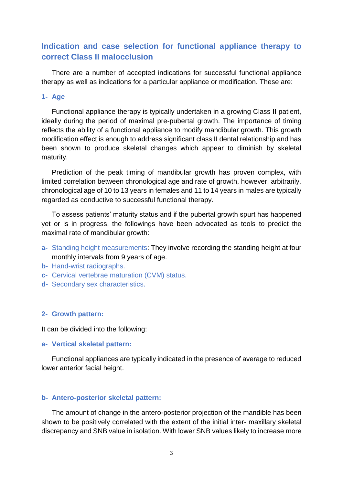# **Indication and case selection for functional appliance therapy to correct Class II malocclusion**

There are a number of accepted indications for successful functional appliance therapy as well as indications for a particular appliance or modification. These are:

#### **1- Age**

Functional appliance therapy is typically undertaken in a growing Class II patient, ideally during the period of maximal pre-pubertal growth. The importance of timing reflects the ability of a functional appliance to modify mandibular growth. This growth modification effect is enough to address significant class II dental relationship and has been shown to produce skeletal changes which appear to diminish by skeletal maturity.

Prediction of the peak timing of mandibular growth has proven complex, with limited correlation between chronological age and rate of growth, however, arbitrarily, chronological age of 10 to 13 years in females and 11 to 14 years in males are typically regarded as conductive to successful functional therapy.

To assess patients' maturity status and if the pubertal growth spurt has happened yet or is in progress, the followings have been advocated as tools to predict the maximal rate of mandibular growth:

- **a-** Standing height measurements: They involve recording the standing height at four monthly intervals from 9 years of age.
- **b-** Hand-wrist radiographs.
- **c-** Cervical vertebrae maturation (CVM) status.
- **d-** Secondary sex characteristics.

#### **2- Growth pattern:**

It can be divided into the following:

#### **a- Vertical skeletal pattern:**

Functional appliances are typically indicated in the presence of average to reduced lower anterior facial height.

#### **b- Antero-posterior skeletal pattern:**

The amount of change in the antero-posterior projection of the mandible has been shown to be positively correlated with the extent of the initial inter- maxillary skeletal discrepancy and SNB value in isolation. With lower SNB values likely to increase more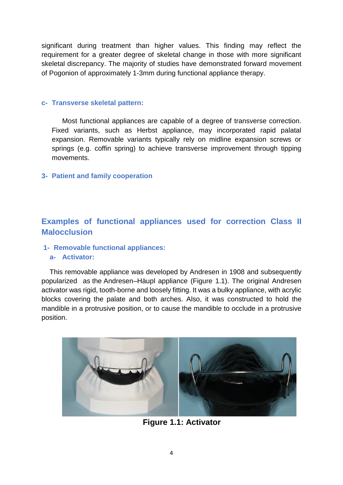significant during treatment than higher values. This finding may reflect the requirement for a greater degree of skeletal change in those with more significant skeletal discrepancy. The majority of studies have demonstrated forward movement of Pogonion of approximately 1-3mm during functional appliance therapy.

#### **c- Transverse skeletal pattern:**

Most functional appliances are capable of a degree of transverse correction. Fixed variants, such as Herbst appliance, may incorporated rapid palatal expansion. Removable variants typically rely on midline expansion screws or springs (e.g. coffin spring) to achieve transverse improvement through tipping movements.

### **3- Patient and family cooperation**

# **Examples of functional appliances used for correction Class II Malocclusion**

## **1- Removable functional appliances:**

#### **a- Activator:**

This removable appliance was developed by Andresen in 1908 and subsequently popularized as the Andresen–Häupl appliance (Figure 1.1). The original Andresen activator was rigid, tooth-borne and loosely fitting. It was a bulky appliance, with acrylic blocks covering the palate and both arches. Also, it was constructed to hold the mandible in a protrusive position, or to cause the mandible to occlude in a protrusive position.



**Figure 1.1: Activator**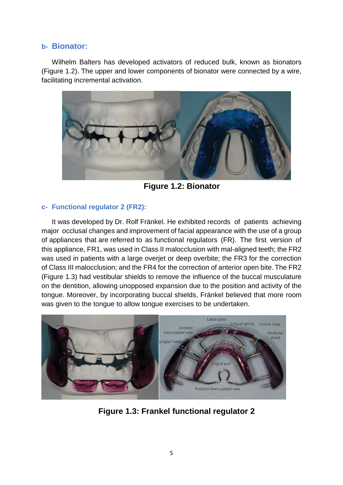## **b- Bionator:**

Wilhelm Balters has developed activators of reduced bulk, known as bionators (Figure 1.2). The upper and lower components of bionator were connected by a wire, facilitating incremental activation.



**Figure 1.2: Bionator**

## **c- Functional regulator 2 (FR2):**

It was developed by Dr. Rolf Fränkel. He exhibited records of patients achieving major occlusal changes and improvement of facial appearance with the use of a group of appliances that are referred to as functional regulators (FR). The first version of this appliance, FR1, was used in Class II malocclusion with mal-aligned teeth; the FR2 was used in patients with a large overjet or deep overbite; the FR3 for the correction of Class III malocclusion; and the FR4 for the correction of anterior open bite. The FR2 (Figure 1.3) had vestibular shields to remove the influence of the buccal musculature on the dentition, allowing unopposed expansion due to the position and activity of the tongue. Moreover, by incorporating buccal shields, Fränkel believed that more room was given to the tongue to allow tongue exercises to be undertaken.



**Figure 1.3: Frankel functional regulator 2**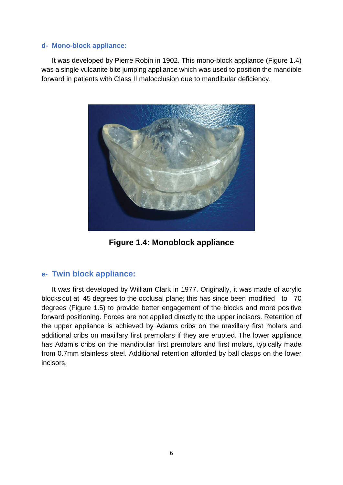#### **d- Mono-block appliance:**

It was developed by Pierre Robin in 1902. This mono-block appliance (Figure 1.4) was a single vulcanite bite jumping appliance which was used to position the mandible forward in patients with Class II malocclusion due to mandibular deficiency.



**Figure 1.4: Monoblock appliance**

## **e- Twin block appliance:**

It was first developed by William Clark in 1977. Originally, it was made of acrylic blocks cut at 45 degrees to the occlusal plane; this has since been modified to 70 degrees (Figure 1.5) to provide better engagement of the blocks and more positive forward positioning. Forces are not applied directly to the upper incisors. Retention of the upper appliance is achieved by Adams cribs on the maxillary first molars and additional cribs on maxillary first premolars if they are erupted. The lower appliance has Adam's cribs on the mandibular first premolars and first molars, typically made from 0.7mm stainless steel. Additional retention afforded by ball clasps on the lower incisors.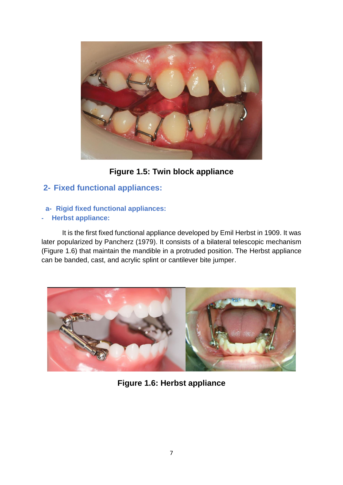

**Figure 1.5: Twin block appliance**

# **2- Fixed functional appliances:**

## **a- Rigid fixed functional appliances:**

## **- Herbst appliance:**

It is the first fixed functional appliance developed by Emil Herbst in 1909. It was later popularized by Pancherz (1979). It consists of a bilateral telescopic mechanism (Figure 1.6) that maintain the mandible in a protruded position. The Herbst appliance can be banded, cast, and acrylic splint or cantilever bite jumper.



**Figure 1.6: Herbst appliance**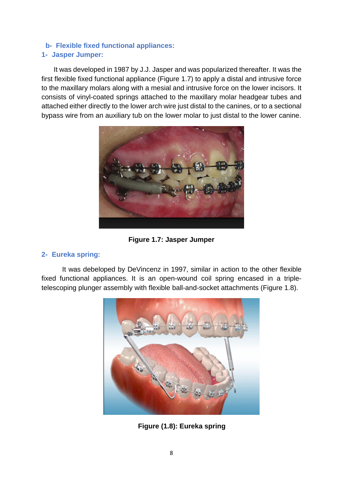## **b- Flexible fixed functional appliances: 1- Jasper Jumper:**

It was developed in 1987 by J.J. Jasper and was popularized thereafter. It was the first flexible fixed functional appliance (Figure 1.7) to apply a distal and intrusive force to the maxillary molars along with a mesial and intrusive force on the lower incisors. It consists of vinyl-coated springs attached to the maxillary molar headgear tubes and attached either directly to the lower arch wire just distal to the canines, or to a sectional bypass wire from an auxiliary tub on the lower molar to just distal to the lower canine.



**Figure 1.7: Jasper Jumper**

## **2- Eureka spring:**

It was debeloped by DeVincenz in 1997, similar in action to the other flexible fixed functional appliances. It is an open-wound coil spring encased in a tripletelescoping plunger assembly with flexible ball-and-socket attachments (Figure 1.8).



**Figure (1.8): Eureka spring**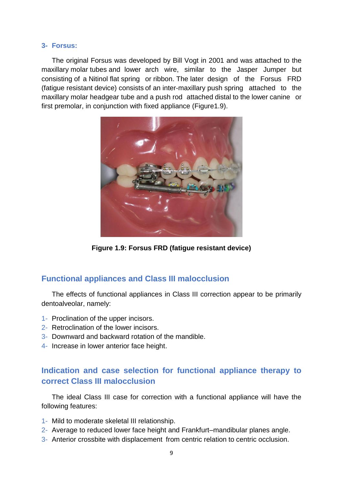#### **3- Forsus:**

The original Forsus was developed by Bill Vogt in 2001 and was attached to the maxillary molar tubes and lower arch wire, similar to the Jasper Jumper but consisting of a Nitinol flat spring or ribbon. The later design of the Forsus FRD (fatigue resistant device) consists of an inter-maxillary push spring attached to the maxillary molar headgear tube and a push rod attached distal to the lower canine or first premolar, in conjunction with fixed appliance (Figure1.9).



**Figure 1.9: Forsus FRD (fatigue resistant device)**

## **Functional appliances and Class III malocclusion**

The effects of functional appliances in Class III correction appear to be primarily dentoalveolar, namely:

- 1- Proclination of the upper incisors.
- 2- Retroclination of the lower incisors.
- 3- Downward and backward rotation of the mandible.
- 4- Increase in lower anterior face height.

# **Indication and case selection for functional appliance therapy to correct Class III malocclusion**

The ideal Class III case for correction with a functional appliance will have the following features:

- 1- Mild to moderate skeletal III relationship.
- 2- Average to reduced lower face height and Frankfurt–mandibular planes angle.
- 3- Anterior crossbite with displacement from centric relation to centric occlusion.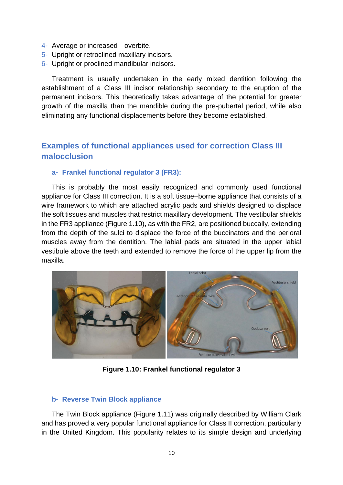- 4- Average or increased overbite.
- 5- Upright or retroclined maxillary incisors.
- 6- Upright or proclined mandibular incisors.

Treatment is usually undertaken in the early mixed dentition following the establishment of a Class III incisor relationship secondary to the eruption of the permanent incisors. This theoretically takes advantage of the potential for greater growth of the maxilla than the mandible during the pre-pubertal period, while also eliminating any functional displacements before they become established.

# **Examples of functional appliances used for correction Class III malocclusion**

#### **a- Frankel functional regulator 3 (FR3):**

This is probably the most easily recognized and commonly used functional appliance for Class III correction. It is a soft tissue–borne appliance that consists of a wire framework to which are attached acrylic pads and shields designed to displace the soft tissues and muscles that restrict maxillary development. The vestibular shields in the FR3 appliance (Figure 1.10), as with the FR2, are positioned buccally, extending from the depth of the sulci to displace the force of the buccinators and the perioral muscles away from the dentition. The labial pads are situated in the upper labial vestibule above the teeth and extended to remove the force of the upper lip from the maxilla.



**Figure 1.10: Frankel functional regulator 3**

#### **b- Reverse Twin Block appliance**

The Twin Block appliance (Figure 1.11) was originally described by William Clark and has proved a very popular functional appliance for Class II correction, particularly in the United Kingdom. This popularity relates to its simple design and underlying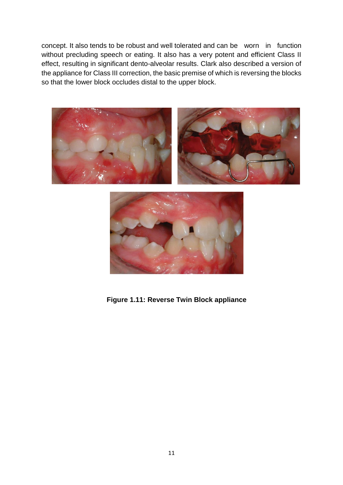concept. It also tends to be robust and well tolerated and can be worn in function without precluding speech or eating. It also has a very potent and efficient Class II effect, resulting in significant dento-alveolar results. Clark also described a version of the appliance for Class III correction, the basic premise of which is reversing the blocks so that the lower block occludes distal to the upper block.





**Figure 1.11: Reverse Twin Block appliance**